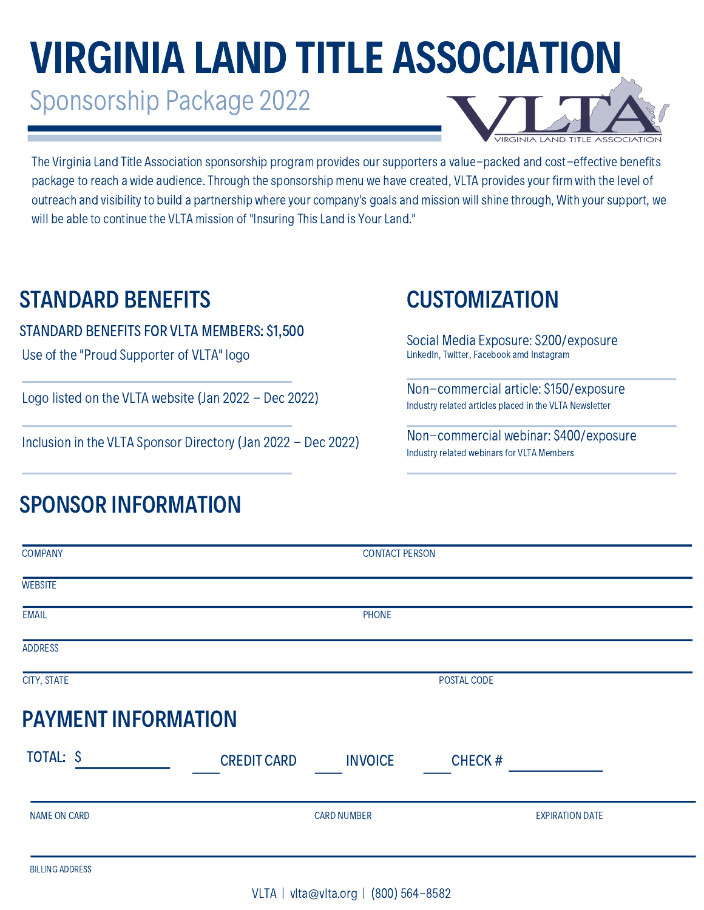# VIRGINIA LAND TITLE ASSOCIATION

Sponsorship Package 2022



The Virginia Land Title Association sponsorship program provides our supporters a value-packed and cost-effective benefits package to reach a wide audience. Through the sponsorship menu we have created, VLTA provides your firm with the level of outreach and visibility to build a partnership where your company's goals and mission will shine through, With your support, we will be able to continue the VLTA mission of "Insuring This Land is Your Land."

## STANDARD BENEFITS CUSTOMIZATION

#### STANDARD BENEFITS FOR VLTA MEMBERS: \$1,500

Use of the "Proud Supporter of VLTA" logo

Logo listed on the VLTA website (Jan 2022 - Dec 2022)

Inclusion in the VLTA Sponsor Directory(Jan 2022 - Dec 2022)

## SPONSOR INFORMATION

Social Media Exposure: \$200/exposure LinkedIn, Twitter, Facebook amd Instagram

Non-commercial article: \$150/exposure Industryrelated articles placed in the VLTA Newsletter

Non-commercial webinar: \$400/exposure Industry related webinars for VLTA Members

| <b>COMPANY</b>             | <b>CONTACT PERSON</b> |                |                        |  |
|----------------------------|-----------------------|----------------|------------------------|--|
| <b>WEBSITE</b>             |                       |                |                        |  |
| <b>EMAIL</b>               |                       | PHONE          |                        |  |
| <b>ADDRESS</b>             |                       |                |                        |  |
| CITY, STATE                | POSTAL CODE           |                |                        |  |
| <b>PAYMENT INFORMATION</b> |                       |                |                        |  |
| TOTAL: \$                  | <b>CREDIT CARD</b>    | <b>INVOICE</b> | <b>CHECK#</b>          |  |
| NAME ON CARD               | <b>CARD NUMBER</b>    |                | <b>EXPIRATION DATE</b> |  |
| <b>BILLING ADDRESS</b>     |                       |                |                        |  |

VLTA | vlta@vlta.org | (800) 564-8582